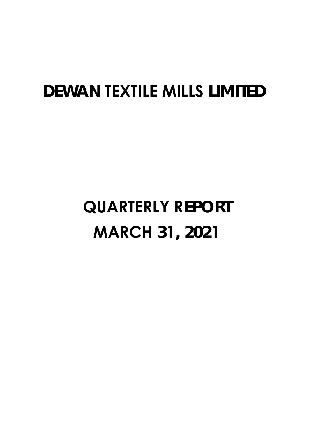## **DEWAN TEXTILE MILLS LIMITED**

# **QUARTERLY REPORT MARCH 31, 2021**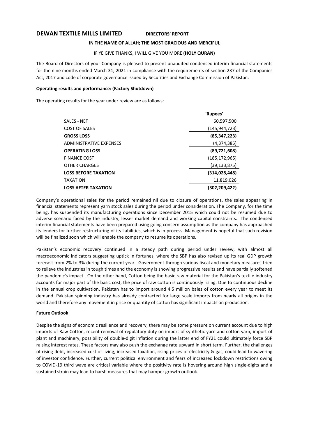#### **DEWAN TEXTILE MILLS LIMITED DIRECTORS' REPORT**

#### **IN THE NAME OF ALLAH; THE MOST GRACIOUS AND MERCIFUL**

#### IF YE GIVE THANKS, I WILL GIVE YOU MORE **(HOLY QURAN)**

The Board of Directors of your Company is pleased to present unaudited condensed interim financial statements for the nine months ended March 31, 2021 in compliance with the requirements of section 237 of the Companies Act, 2017 and code of corporate governance issued by Securities and Exchange Commission of Pakistan.

#### **Operating results and performance: (Factory Shutdown)**

The operating results for the year under review are as follows:

|                             | 'Rupees'        |
|-----------------------------|-----------------|
| <b>SALES - NET</b>          | 60,597,500      |
| COST OF SALES               | (145,944,723)   |
| <b>GROSS LOSS</b>           | (85, 347, 223)  |
| ADMINISTRATIVE EXPENSES     | (4,374,385)     |
| <b>OPERATING LOSS</b>       | (89, 721, 608)  |
| <b>FINANCE COST</b>         | (185, 172, 965) |
| <b>OTHER CHARGES</b>        | (39,133,875)    |
| <b>LOSS BEFORE TAXATION</b> | (314,028,448)   |
| <b>TAXATION</b>             | 11,819,026      |
| <b>LOSS AFTER TAXATION</b>  | (302,209,422)   |

Company's operational sales for the period remained nil due to closure of operations, the sales appearing in financial statements represent yarn stock sales during the period under consideration. The Company, for the time being, has suspended its manufacturing operations since December 2015 which could not be resumed due to adverse scenario faced by the industry, lesser market demand and working capital constraints. The condensed interim financial statements have been prepared using going concern assumption as the company has approached its lenders for further restructuring of its liabilities, which is in process. Management is hopeful that such revision will be finalized soon which will enable the company to resume its operations.

Pakistan's economic recovery continued in a steady path during period under review, with almost all macroeconomic indicators suggesting uptick in fortunes, where the SBP has also revised up its real GDP growth forecast from 2% to 3% during the current year. Government through various fiscal and monetary measures tried to relieve the industries in tough times and the economy is showing progressive results and have partially softened the pandemic's impact. On the other hand, Cotton being the basic raw material for the Pakistan's textile industry accounts for major part of the basic cost, the price of raw cotton is continuously rising. Due to continuous decline in the annual crop cultivation, Pakistan has to import around 4.5 million bales of cotton every year to meet its demand. Pakistan spinning industry has already contracted for large scale imports from nearly all origins in the world and therefore any movement in price or quantity of cotton has significant impacts on production.

#### **Future Outlook**

Despite the signs of economic resilience and recovery, there may be some pressure on current account due to high imports of Raw Cotton, recent removal of regulatory duty on import of synthetic yarn and cotton yarn, import of plant and machinery, possibility of double‐digit inflation during the latter end of FY21 could ultimately force SBP raising interest rates. These factors may also push the exchange rate upward in short term. Further, the challenges of rising debt, increased cost of living, increased taxation, rising prices of electricity & gas, could lead to wavering of investor confidence. Further, current political environment and fears of increased lockdown restrictions owing to COVID-19 third wave are critical variable where the positivity rate is hovering around high single-digits and a sustained strain may lead to harsh measures that may hamper growth outlook.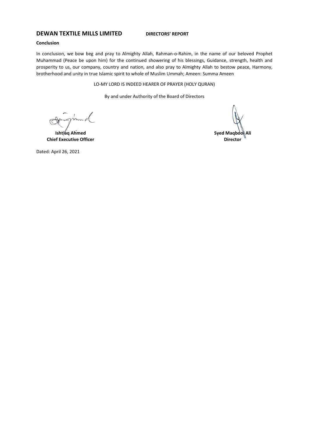#### **DEWAN TEXTILE MILLS LIMITED DIRECTORS' REPORT**

#### **Conclusion**

In conclusion, we bow beg and pray to Almighty Allah, Rahman-o-Rahim, in the name of our beloved Prophet Muhammad (Peace be upon him) for the continued showering of his blessings, Guidance, strength, health and prosperity to us, our company, country and nation, and also pray to Almighty Allah to bestow peace, Harmony, brotherhood and unity in true Islamic spirit to whole of Muslim Ummah; Ameen: Summa Ameen

LO‐MY LORD IS INDEED HEARER OF PRAYER (HOLY QURAN)

By and under Authority of the Board of Directors

**Ishtiaq Ahmed Chief Executive Officer**

Syed Maqbool Ali **Director** 

Dated: April 26, 2021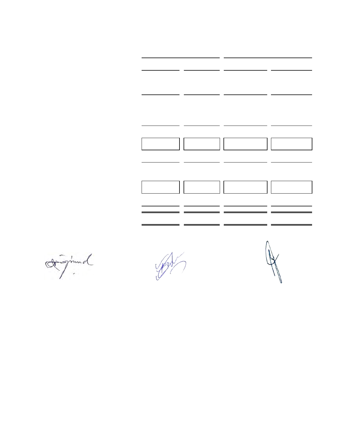#### DEWAN TEXTILE MILLS LIMITED CONDENSED INTERIM STATEMENT OF PROFIT OR LOSS (UN-AUDITED) FOR THE NINE MONTHS & QUARTER ENDED MARCH 31, 2021

|                                      |              | Nine Months Ended |                 | Quarter Ended  |                 |
|--------------------------------------|--------------|-------------------|-----------------|----------------|-----------------|
|                                      |              | July-Mar          | July-Mar        | Jan-Mar        | Jan-Mar         |
|                                      |              | 2021              | 2020            | 2021           | 2020            |
|                                      | <b>Notes</b> |                   | - (Rupees)      |                |                 |
| Sales - Net                          |              | 60,597,500        |                 | 41,692,500     |                 |
| Cost of sales                        |              | (145,944,723).    | (113,079,918)   | (65, 765, 569) | (36, 749, 172)  |
| Gross (Loss)                         |              | (85, 347, 223)    | (113,079,918)   | (24,073,069)   | (36, 749, 172)  |
| Operating expenses                   |              |                   |                 |                |                 |
| Administrative & general expenses    |              | (4,374,385)       | (4,430,073)     | (1,546,181)    | (1,321,970)     |
| Operating (Loss)                     |              | (89, 721, 608)    | (117, 509, 991) | (25,619,250)   | (38,071,142)    |
| Finance cost                         | 11           | (185, 172, 965)   | (300, 180, 411) | (61, 319, 949) | (98,963,160)    |
| <b>Other Charges</b>                 |              | (39, 133, 875)    |                 |                |                 |
|                                      |              | (224, 306, 840)   | (300, 180, 411) | (61, 319, 949) | (98, 963, 160)  |
| (Loss) before taxation               |              | (314, 028, 448)   | (417, 690, 402) | (86,939,199)   | (137, 034, 302) |
| Taxation                             |              |                   |                 |                |                 |
| - Current                            |              | (908, 963)        |                 | (625, 388)     |                 |
| - Deferred                           |              | 12,727,989        | 14,457,802      | 4,242,663      | 4,819,267       |
|                                      |              | 11,819,026        | 14,457,802      | 3,617,275      | 4,819,267       |
| (Loss) for the period                |              | (302, 209, 422)   | (403, 232, 600) | (83, 321, 924) | (132, 215, 035) |
| (Loss) per share - Basic and diluted | 12           | (6.56)            | (8.75)          | (1.81)         | (2.87)          |

The annexed notes form an integral part of these condensed interim financial statements.

mud

Ishtiaq Ahmed CEO & Director

Muhammad Irfan Ali Syed Maqbool Ali Chief Financial Officer **Director** Director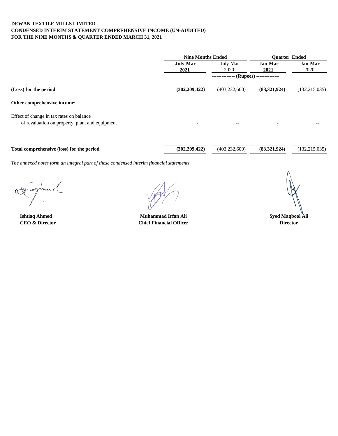#### **DEWAN TEXTILE MILLS LIMITED CONDENSED INTERIM STATEMENT COMPREHENSIVE INCOME (UN-AUDITED) FOR THE NINE MONTHS & QUARTER ENDED MARCH 31, 2021**

|                                                                                             |                  | <b>Nine Months Ended</b>               |                 | <b>Ouarter Ended</b> |
|---------------------------------------------------------------------------------------------|------------------|----------------------------------------|-----------------|----------------------|
|                                                                                             | July-Mar<br>2021 | July-Mar<br>2020                       | Jan-Mar<br>2021 | Jan-Mar<br>2020      |
|                                                                                             |                  | -------------- (Rupees) -------------- |                 |                      |
| (Loss) for the period                                                                       | (302, 209, 422)  | (403, 232, 600)                        | (83,321,924)    | (132, 215, 035)      |
| Other comprehensive income:                                                                 |                  |                                        |                 |                      |
| Effect of change in tax rates on balance<br>of revaluation on property, plant and equipment | ۰                | $-\, -$                                | $\blacksquare$  | --                   |
|                                                                                             |                  |                                        |                 |                      |

**Total comprehensive (loss) for the period (302,209,422)** (403,232,600) (83,321,924) (132,215,035)

*The annexed notes form an integral part of these condensed interim financial statements.*

mn e

**Ishtiaq Ahmed CEO & Director**

**Muhammad Irfan Ali Chief Financial Officer**

**Syed Maqbool Ali**

**Director**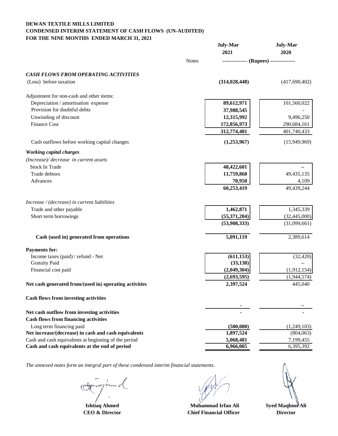#### **CONDENSED INTERIM STATEMENT OF CASH FLOWS (UN-AUDITED) FOR THE NINE MONTHS ENDED MARCH 31, 2021 DEWAN TEXTILE MILLS LIMITED**

|                                                                                                        |              | <b>July-Mar</b>                        |                        |
|--------------------------------------------------------------------------------------------------------|--------------|----------------------------------------|------------------------|
|                                                                                                        |              | 2021                                   | 2020                   |
|                                                                                                        | <b>Notes</b> | -------------- (Rupees) -------------- |                        |
| <b>CASH FLOWS FROM OPERATING ACTIVITIES</b>                                                            |              |                                        |                        |
| (Loss) before taxation                                                                                 |              | (314, 028, 448)                        | (417,690,402)          |
| Adjustment for non-cash and other items:                                                               |              |                                        |                        |
| Depreciation / amortisation expense                                                                    |              | 89,612,971                             | 101,560,022            |
| Provision for doubtful debts                                                                           |              | 37,988,545                             |                        |
| Unwinding of discount                                                                                  |              | 12,315,992                             | 9,496,250              |
| <b>Finance Cost</b>                                                                                    |              | 172,856,973                            | 290,684,161            |
|                                                                                                        |              | 312,774,481                            | 401,740,433            |
| Cash outflows before working capital changes                                                           |              | (1,253,967)                            | (15,949,969)           |
| <b>Working capital charges</b>                                                                         |              |                                        |                        |
| (Increase)/ decrease in current assets                                                                 |              |                                        |                        |
| <b>Stock In Trade</b>                                                                                  |              | 48,422,601                             |                        |
| Trade debtors                                                                                          |              | 11,759,868                             | 49, 435, 135           |
| Advances                                                                                               |              | 70,950                                 | 4,109                  |
|                                                                                                        |              | 60,253,419                             | 49,439,244             |
| Increase / (decrease) in current liabilities                                                           |              |                                        |                        |
| Trade and other payable                                                                                |              | 1,462,871                              | 1,345,339              |
| Short term borrowings                                                                                  |              | (55,371,204)                           | (32, 445, 000)         |
|                                                                                                        |              | (53,908,333)                           | (31,099,661)           |
| Cash (used in) generated from operations                                                               |              | 5,091,119                              | 2,389,614              |
| <b>Payments for:</b>                                                                                   |              |                                        |                        |
| Income taxes (paid) / refund - Net                                                                     |              | (611, 153)                             | (32, 420)              |
| <b>Gratuity Paid</b>                                                                                   |              | (33, 138)                              |                        |
| Financial cost paid                                                                                    |              | (2,049,304)                            | (1,912,154)            |
|                                                                                                        |              | (2,693,595)                            | (1,944,574)            |
| Net cash generated from/(used in) operating activities                                                 |              | 2,397,524                              | 445,040                |
| <b>Cash flows from investing activities</b>                                                            |              |                                        |                        |
|                                                                                                        |              |                                        |                        |
| Net cash outflow from investing activities                                                             |              |                                        |                        |
| <b>Cash flows from financing activities</b>                                                            |              |                                        |                        |
| Long term financing paid                                                                               |              | (500,000)<br>1,897,524                 | (1,249,103)            |
| Net increase/(decrease) in cash and cash equivalents                                                   |              |                                        | (804,063)              |
| Cash and cash equivalents at beginning of the period<br>Cash and cash equivalents at the end of period |              | 5,068,481<br>6,966,005                 | 7,199,455<br>6,395,392 |
|                                                                                                        |              |                                        |                        |

*The annexed notes form an integral part of these condensed interim financial statements.*

**Ishtiaq Ahmed Syed Maqbool Ali Muhammad Irfan Ali CEO & Director Director Chief Financial Officer**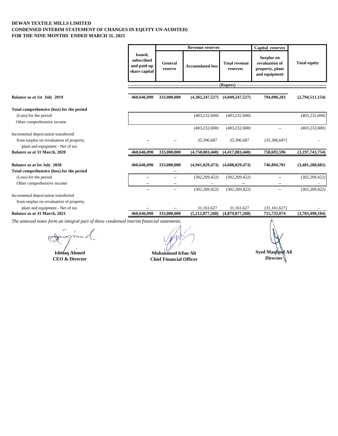#### **FOR THE NINE MONTHS ENDED MARCH 31, 2021 DEWAN TEXTILE MILLS LIMITED CONDENSED INTERIM STATEMENT OF CHANGES IN EQUITY UN-AUDITED)**

Γ

|                                                                                          |                                                       | <b>Revenue reserves</b>  |                         | Capital reserves                 |                                                                         |                     |
|------------------------------------------------------------------------------------------|-------------------------------------------------------|--------------------------|-------------------------|----------------------------------|-------------------------------------------------------------------------|---------------------|
|                                                                                          | Issued,<br>subscribed<br>and paid-up<br>share capital | General<br>reserve       | <b>Accumulated loss</b> | <b>Total revenue</b><br>reserves | <b>Surplus on</b><br>revaluation of<br>property, plant<br>and equipment | <b>Total equity</b> |
|                                                                                          |                                                       |                          |                         |                                  |                                                                         |                     |
| Balance as at 1st July 2019                                                              | 460,646,090                                           | 333,000,000              | (4,382,247,527)         | (4,049,247,527)                  | 794,090,283                                                             | (2,794,511,154)     |
| Total comprehensive (loss) for the period                                                |                                                       |                          |                         |                                  |                                                                         |                     |
| (Loss) for the period                                                                    |                                                       |                          | (403, 232, 600)         | (403, 232, 600)                  |                                                                         | (403, 232, 600)     |
| Other comprehensive income                                                               |                                                       |                          |                         |                                  |                                                                         |                     |
| Incremental depreciation transferred                                                     |                                                       |                          | (403, 232, 600)         | (403, 232, 600)                  |                                                                         | (403, 232, 600)     |
| from surplus on revaluation of property,<br>plant and equipment - Net of tax             |                                                       |                          | 35,396,687              | 35,396,687                       | (35,396,687)                                                            |                     |
| Balance as at 31 March, 2020                                                             | 460,646,090                                           | 333,000,000              | (4,750,083,440)         | (4,417,083,440)                  | 758,693,596                                                             | (3, 197, 743, 754)  |
| Balance as at Ist July 2020                                                              | 460,646,090                                           | 333,000,000              | (4,941,829,473)         | (4,608,829,473)                  | 746,894,701                                                             | (3,401,288,682)     |
| Total comprehensive (loss) for the period                                                |                                                       |                          |                         |                                  |                                                                         |                     |
| (Loss) for the period                                                                    |                                                       | $\overline{\phantom{a}}$ | (302, 209, 422)         | (302, 209, 422)                  |                                                                         | (302, 209, 422)     |
| Other comprehensive income                                                               |                                                       |                          | $\sim$                  |                                  |                                                                         |                     |
|                                                                                          |                                                       | $\overline{\phantom{a}}$ | (302, 209, 422)         | (302, 209, 422)                  |                                                                         | (302, 209, 422)     |
| Incremental depreciation transferred<br>from surplus on revaluation of property,         |                                                       |                          |                         |                                  |                                                                         |                     |
| plant and equipment - Net of tax                                                         |                                                       |                          | 31,161,627              | 31,161,627                       | (31, 161, 627)                                                          |                     |
| Balance as at 31 March, 2021                                                             | 460,646,090                                           | 333,000,000              | (5,212,877,268)         | (4,879,877,268)                  | 715,733,074                                                             | (3,703,498,104)     |
| The annexed notes form an integral part of these condensed interim financial statements. |                                                       |                          |                         |                                  |                                                                         |                     |
|                                                                                          |                                                       |                          |                         |                                  |                                                                         |                     |
| Ishtian Ahmed                                                                            |                                                       | Muhammad Irfan Ali       |                         |                                  | Syed Maqbowl Ali                                                        |                     |

**Ishtiaq Ahmed CEO & Director**

**Muhammad Irfan Ali Chief Financial Officer**

**Director**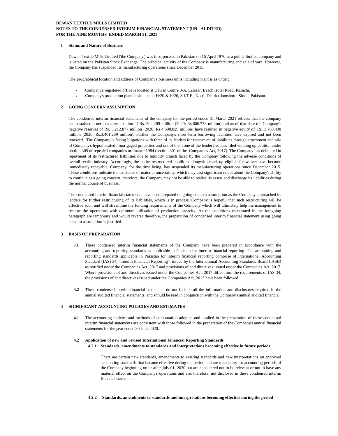#### **DEWAN TEXTILE MILLS LIMITED NOTES TO THE CONDENSED INTERIM FINANCIAL STATEMENT (UN - AUDITED) FOR THE NINE MONTHS ENDED MARCH 31, 2021**

#### **1 Status and Nature of Business**

Dewan Textile Mills Limited ('the Company') was incorporated in Pakistan on 16 April 1970 as a public limited company and is listed on the Pakistan Stock Exchange. The principal activity of the Company is manufacturing and sale of yarn. However, the Company has suspended its manufacturing operations since December 2015.

The geographical location and address of Company's business units including plant is as under:

- Company's registered office is located at Dewan Centre 3-A, Lalazar, Beach Hotel Road, Karachi.
- Company's production plant is situated at H/20 & H/26, S.I.T.E., Kotri, District Jamshoro, Sindh, Pakistan.

#### **2 GOING CONCERN ASSUMPTION**

The condensed interim financial statements of the company for the period ended 31 March 2021 reflects that the company has sustained a net loss after taxation of Rs. 302.209 million (2020: Rs.606.778 million) and as of that date the Company's negative reserves of Rs. 5,212.877 million (2020: Rs.4,608.829 million) have resulted in negative equity of Rs. 3,703.498 million (2020: Rs.3,401.289 million). Further the Company's short term borrowing facilities have expired and not been renewed. The Company is facing litigations with three of its lenders for repayment of liabilities through attachment and sale of Company's hypothecated / mortgaged properties and out of them one of the lender had also filed winding up petition under section 305 of repealed companies ordinance 1984 (section 301 of the Companies Act, 2017). The Company has defaulted in repayment of its restructured liabilities due to liquidity crunch faced by the Company following the adverse conditions of overall textile industry. Accordingly, the entire restructured liabilities alongwith mark-up eligible for waiver have become immediately repayable. Company, for the time being, has suspended its manufacturing operations since December 2015. These conditions indicate the existence of material uncertainty, which may cast significant doubt about the Company's ability to continue as a going concern, therefore, the Company may not be able to realise its assets and discharge its liabilities during the normal course of business.

The condensed interim financial statements have been prepared on going concern assumption as the Company approached its lenders for further restructuring of its liabilities, which is in process. Company is hopeful that such restructuring will be effective soon and will streamline the funding requirements of the Company which will ultimately help the management to resume the operations with optimum utilisation of production capacity. As the conditions mentioned in the foregoing paragraph are temporary and would reverse therefore, the preparation of condensed interim financial statement using going concern assumption is justified.

#### **3 BASIS OF PREPARATION**

- **3.1** These condensed interim financial statements of the Company have been prepared in accordance with the accounting and reporting standards as applicable in Pakistan for interim financial reporting. The accounting and reporting standards applicable in Pakistan for interim financial reporting comprise of International Accounting Standard (IAS) 34, "Interim Financial Reporting", issued by the International Accounting Standards Board (IASB) as notified under the Companies Act, 2017 and provisions of and directives issued under the Companies Act, 2017. Where provisions of and directives issued under the Companies Act, 2017 differ from the requirements of IAS 34, the provisions of and directives issued under the Companies Act, 2017 have been followed.
- **3.2** These condensed interim financial statements do not include all the information and disclosures required in the annual audited financial statements, and should be read in conjunction with the Company's annual audited financial

#### **4 SIGNIFICANT ACCOUNTING POLICIES AND ESTIMATES**

**4.1** The accounting policies and methods of computation adopted and applied in the preparation of these condensed interim financial statements are consistent with those followed in the preparation of the Company's annual financial statements for the year ended 30 June 2020.

#### **4.2 Application of new and revised International Financial Reporting Standards**

**4.2.1 Standards, amendments to standards and interpretations becoming effective in future periods**

There are certain new standards, amendments to existing standards and new interpretations on approved accounting standards that became effective during the period and are mandatory for accounting periods of the Company beginning on or after July 01, 2020 but are considered not to be relevant or not to have any material effect on the Company's operations and are, therefore, not disclosed in these condensed interim financial statements.

#### **4.2.2 Standards, amendments to standards and interpretations becoming effective during the period**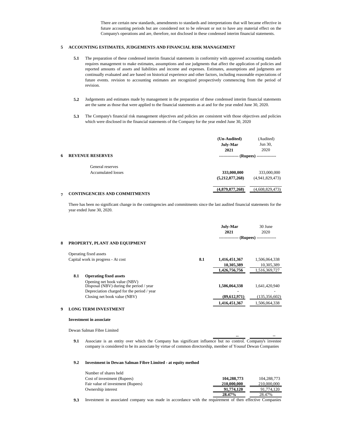There are certain new standards, amendments to standards and interpretations that will became effective in future accounting periods but are considered not to be relevant or not to have any material effect on the Company's operations and are, therefore, not disclosed in these condensed interim financial statements.

#### **5 ACCOUNTING ESTIMATES, JUDGEMENTS AND FINANCIAL RISK MANAGEMENT**

- **5.1** The preparation of these condensed interim financial statements in conformity with approved accounting standards requires management to make estimates, assumptions and use judgments that affect the application of policies and reported amounts of assets and liabilities and income and expenses. Estimates, assumptions and judgments are continually evaluated and are based on historical experience and other factors, including reasonable expectations of future events. revision to accounting estimates are recognized prospectively commencing from the period of revision.
- **5.2** Judgements and estimates made by management in the preparation of these condensed interim financial statements are the same as those that were applied to the financial statements as at and for the year ended June 30, 2020.
- **5.3** The Company's financial risk management objectives and policies are consistent with those objectives and policies which were disclosed in the financial statements of the Company for the year ended June 30, 2020

|   |                                      | (Un-Audited)<br><b>July-Mar</b><br>2021 | (Audited)<br>Jun 30,<br>2020 |
|---|--------------------------------------|-----------------------------------------|------------------------------|
| 6 | <b>REVENUE RESERVES</b>              | ----------                              | (Rupees) ---------------     |
|   | General reserves                     |                                         |                              |
|   | Accumulated losses                   | 333,000,000                             | 333,000,000                  |
|   |                                      | (5,212,877,268)                         | (4,941,829,473)              |
|   |                                      | (4,879,877,268)                         | (4,608,829,473)              |
|   | <b>CONTINGENCIES AND COMMITMENTS</b> |                                         |                              |

There has been no significant change in the contingencies and commitments since the last audited financial statements for the year ended June 30, 2020.

|   |     |                                                                         |     | <b>July-Mar</b><br>2021                | 30 June<br>2020 |
|---|-----|-------------------------------------------------------------------------|-----|----------------------------------------|-----------------|
| 8 |     | PROPERTY, PLANT AND EQUIPMENT                                           |     | -------------- (Rupees) -------------- |                 |
|   |     | Operating fixed assets                                                  |     |                                        |                 |
|   |     | Capital work in progress - At cost                                      | 8.1 | 1,416,451,367                          | 1,506,064,338   |
|   |     |                                                                         |     | 10,305,389                             | 10,305,389      |
|   |     |                                                                         |     | 1,426,756,756                          | 1,516,369,727   |
|   | 8.1 | <b>Operating fixed assets</b>                                           |     |                                        |                 |
|   |     | Opening net book value (NBV)<br>Disposal (NBV) during the period / year |     | 1,506,064,338                          | 1,641,420,940   |
|   |     | Depreciation charged for the period / year                              |     | -                                      |                 |
|   |     | Closing net book value (NBV)                                            |     | (89,612,971)                           | (135, 356, 602) |
|   |     |                                                                         |     | 1,416,451,367                          | 1,506,064,338   |
|   |     | <b>LONG TERM INVESTMENT</b>                                             |     |                                        |                 |

### **Investment in associate**

Dewan Salman Fibre Limited

**9.1** Associate is an entity over which the Company has significant influence but no control. Company's investee company is considered to be its associate by virtue of common directorship, member of Yousuf Dewan Companies

**--** --

#### **9.2 Investment in Dewan Salman Fibre Limited - at equity method**

| Number of shares held             |             |             |
|-----------------------------------|-------------|-------------|
| Cost of investment (Rupees)       | 104,288,773 | 104.288.773 |
| Fair value of investment (Rupees) | 210,000,000 | 210,000,000 |
| Ownership interest                | 91,774,120  | 91,774,120  |
|                                   | 28.47%      | 28.47%      |

**9.3** Investment in associated company was made in accordance with the requirement of then effective Companies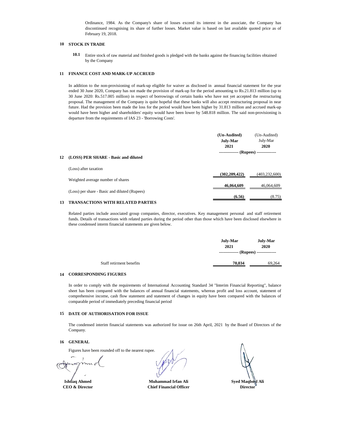Ordinance, 1984. As the Company's share of losses exceed its interest in the associate, the Company has discontinued recognising its share of further losses. Market value is based on last available quoted price as of February 19, 2018.

#### **10 STOCK IN TRADE**

**10.1** Entire stock of raw material and finished goods is pledged with the banks against the financing facilities obtained by the Company

#### **11 FINANCE COST AND MARK-UP ACCRUED**

In addition to the non-provisioning of mark-up eligible for waiver as disclosed in annual financial statement for the year ended 30 June 2020, Company has not made the provision of mark-up for the period amounting to Rs.21.813 million (up to 30 June 2020: Rs.517.005 million) in respect of borrowings of certain banks who have not yet accepted the restructuring proposal. The management of the Company is quite hopeful that these banks will also accept restructuring proposal in near future. Had the provision been made the loss for the period would have been higher by 31.813 million and accrued mark-up would have been higher and shareholders' equity would have been lower by 548.818 million. The said non-provisioning is departure from the requirements of IAS 23 - 'Borrowing Costs'.

|    |                                               | (Un-Audited)    | (Un-Audited)               |
|----|-----------------------------------------------|-----------------|----------------------------|
|    |                                               | <b>July-Mar</b> | July-Mar                   |
|    |                                               | 2021            | 2020                       |
|    |                                               | -----------     | -- (Rupees) -------------- |
| 12 | (LOSS) PER SHARE - Basic and diluted          |                 |                            |
|    | (Loss) after taxation                         |                 |                            |
|    |                                               | (302, 209, 422) | (403, 232, 600)            |
|    | Weighted average number of shares             |                 |                            |
|    |                                               | 46,064,609      | 46,064,609                 |
|    | (Loss) per share - Basic and diluted (Rupees) |                 |                            |

#### **13 TRANSACTIONS WITH RELATED PARTIES**

Related parties include associated group companies, director, executives. Key management personal and staff retirement funds. Details of transactions with related parties during the period other than those which have been disclosed elsewhere in these condensed interm financial statements are given below.

|                          | <b>July-Mar</b><br>2021                | <b>July-Mar</b><br>2020 |
|--------------------------|----------------------------------------|-------------------------|
|                          | -------------- (Rupees) -------------- |                         |
| Staff retirment benefits | 70,034                                 | 69.264                  |

#### **14 CORRESPONDING FIGURES**

In order to comply with the requirements of International Accounting Standard 34 "Interim Financial Reporting", balance sheet has been compared with the balances of annual financial statements, whereas profit and loss account, statement of comprehensive income, cash flow statement and statement of changes in equity have been compared with the balances of comparable period of immediately preceding financial period

#### **15 DATE OF AUTHORISATION FOR ISSUE**

The condensed interim financial statements was authorized for issue on 26th April, 2021 by the Board of Directors of the Company.

#### **16 GENERAL**

Figures have been rounded off to the nearest rupee.

**Ishtiaq Ahmed CEO & Director**

**Muhammad Irfan Ali Syed Maqbool Ali Chief Financial Officer**



**(6.56)** (8.75)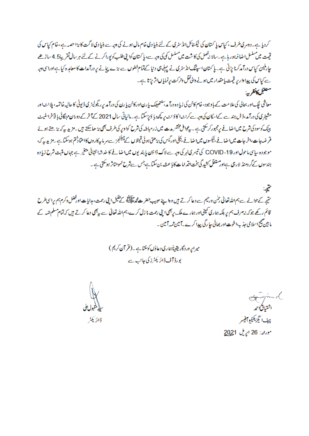کردیا ہے۔دوسری طرف ، کیاس پا کستان کی ٹیکشائل انڈ سٹری کے لئے بنیا دی خام مال ہونے کی وجہ ہے بنیا دی لاگت کا بڑا حصہ ہے ،خام کیاس کی قیمت میں مسلسل اضا فہ ہور ہاہے۔سالا نہ فصل کی کا شت میں مسلسل کی کی وجہ ہے، پا کستان کواینی طلب کو پورا کرنے کے لئے ہر سال تقریبا4 .5 ساڑھے چارملین کیاس درآمدکرما پڑتی ہے۔پاکستان اسپننگ انڈسٹری نے پہلے ہی دنیا کےتمامخطوں سے بڑے پیانے پر درآمدات کا معاہد ہ کیاہے اورا ی وجہ ے کیاس کی پیدا دار پر قیمت بامقدار میں ہونے والی نقل وحرکت پرنمایاںانر پڑتا ہے۔ متعقل كأنظربية

معاشی لیگ اور بحالی کی علا مت کے باوجود، خام کاٹن کی زیا دہ درآ مد بہتھیاک پارن اور کاٹن پا رن کی درآمد پر ریگولیٹر کی ڈیوٹی کا حالیہ خاتمہ، پلانٹ اور مشینری کی درآمد،ڈیل ہندے کےامکان کی دیدے کرنٹ اکاؤنٹ پر کچھ دبا ڈپڑسکتا ہے۔مالیاتی سال 2021 کےآخر کے دوران مہنگائی با لآخراسٹیٹ بینک کوسود کی شرح میں اضافے پرمجبور کر سکتی ہے ۔ پیٹوامل مختصر مدت میں زرمباطہ کی شرح کواوپر کی طرف بھی بڑے ہیں گے بو نے سینے کے بو بچ قر ضہ جات،اخر جات میں اضا نے ،ٹیکسوں میں اضا نے ،بیلی اور <sub>گی</sub>س کی بڑھتی ہوئی قیمتوں کے چیلنجز ہے سر مار کاروں کااعتماد ختم ہوسکتا ہے ۔مزید پہ کہ ، موجودہ سای ماحول اور COVID-19 کی تیسر کی لہر کی وجہ ہے لاک ڈا ڈن پابندیوں میں اضافے کا خدشہ انتہائی متغیر ہے جہاں مثبت شرح زیا دہ ہندسوں کےگر دمنڈ لار ہی ہےاور مستقل کشید گی تخت اقدامات کابا عث بن سکتا ہے جس سےشرح نمومتاثر ہوسکتی ہے ۔

منتیجہ کےحوالے ہے ہم اللہ تعالیٰ رحمٰن ورحیم ہے دعا کرتے ہیں وہا پنے حبیب حضرت مجم<sup>عالق</sup>ہ کے طفیل اپنی رحمت، مدایات اورفضل وکرم ہم یراسی طرح قائم رکھے جوکہ بیصرف ہم پر بلکہ ہماری کمپنیااور ہمارے ملک پربھی اپنی رحمت ما زل کرے،ہم اللہ تعالٰی ہے بہ بھی دعا کرتے ہیں کہ تمام مسلم اتمہ کے ما بین شخیح اسلامی جذبہ اخوت اور بھائی جا رگی پیدا کرے۔آمین ثمہ آمین ۔

میرایر وردگار یقیناً ہماری دعاؤں کو سنتاہے۔(قرآن کریم) بورڈ آف ڈائر یکٹرز کی جانب ہے

چف ایگزیکیٹیو آفیسر مورفہ: 26 اپریل 2021